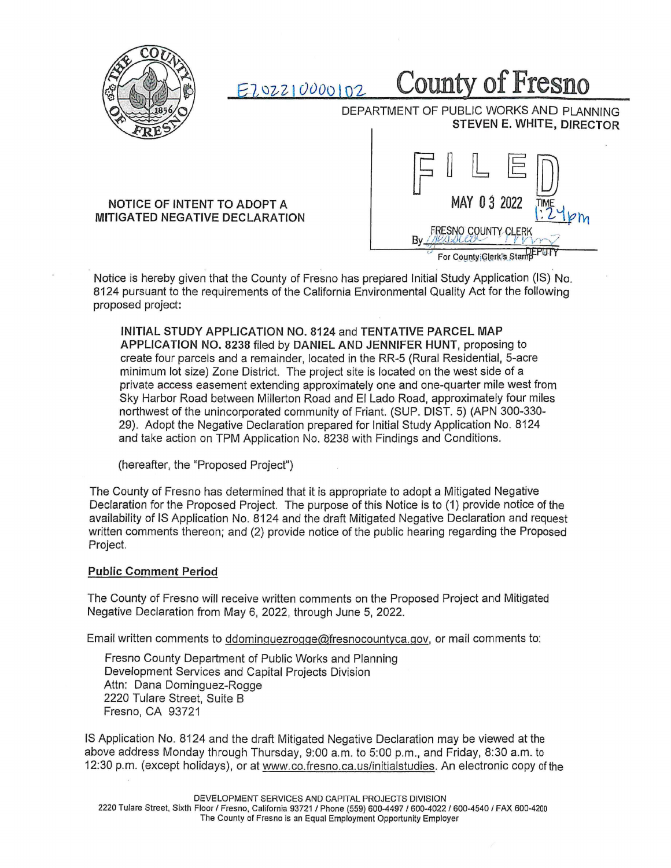

E-1 IJvZ I cJuoo I 0-2 **County of Fresno** 

DEPARTMENT OF PUBLIC WORKS AND PLANNING **STEVEN E. WHITE, DIRECTOR** 

## **NOTICE OF INTENT TO ADOPT A MITIGATED NEGATIVE DECLARATION**



For County Glerk's Stam

Notice is hereby given that the County of Fresno has prepared Initial Study Application (IS) No. 8124 pursuant to the requirements of the California Environmental Quality Act for the following proposed project:

**INITIAL STUDY APPLICATION NO. 8124** and **TENTATIVE PARCEL MAP APPLICATION NO. 8238** filed by **DANIEL AND JENNIFER HUNT,** proposing to create four parcels and a remainder, located in the RR-5 (Rural Residential, 5-acre minimum lot size) Zone District. The project site is located on the west side of a private access easement extending approximately one and one-quarter mile west from Sky Harbor Road between Millerton Road and El Lado Road, approximately four miles northwest of the unincorporated community of Friant. (SUP. DIST. 5) (APN 300-330- 29). Adopt the Negative Declaration prepared for Initial Study Application No. 8124 and take action on TPM Application No. 8238 with Findings and Conditions.

(hereafter, the "Proposed Project")

The County of Fresno has determined that it is appropriate to adopt a Mitigated Negative Declaration for the Proposed Project. The purpose of this Notice is to (1) provide notice of the availability of IS Application No. 8124 and the draft Mitigated Negative Declaration and request written comments thereon; and (2) provide notice of the public hearing regarding the Proposed Project.

## **Public Comment Period**

The County of Fresno will receive written comments on the Proposed Project and Mitigated Negative Declaration from May 6, 2022, through June 5, 2022.

Email written comments to ddominguezrogge@fresnocountyca.gov, or mail comments to:

Fresno County Department of Public Works and Planning Development Services and Capital Projects Division Attn: Dana Dominguez-Rogge 2220 Tulare Street, Suite B Fresno, CA 93721

IS Application No. 8124 and the draft Mitigated Negative Declaration may be viewed at the above address Monday through Thursday, 9:00 a.m. to 5:00 p.m., and Friday, 8:30 a.m. to 12:30 p.m. (except holidays), or at www.co.fresno.ea.us/initialstudies. An electronic copy of the